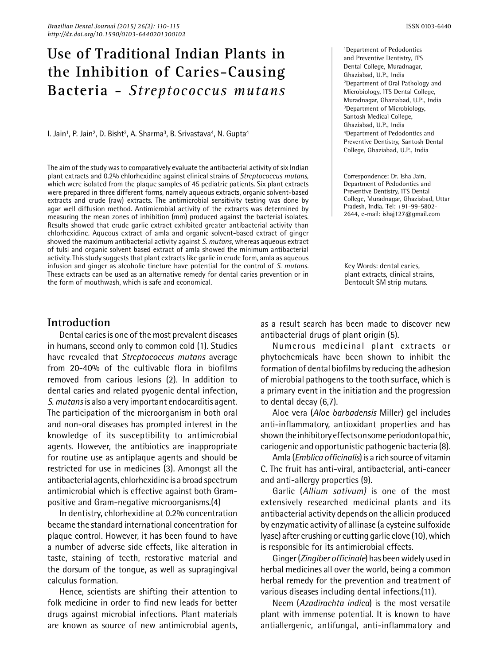# **Use of Traditional Indian Plants in the Inhibition of Caries-Causing Bacteria -** *Streptococcus mutans*

I. Jain<sup>1</sup>, P. Jain<sup>2</sup>, D. Bisht<sup>3</sup>, A. Sharma<sup>3</sup>, B. Srivastava<sup>4</sup>, N. Gupta<sup>4</sup>

The aim of the study was to comparatively evaluate the antibacterial activity of six Indian plant extracts and 0.2% chlorhexidine against clinical strains of *Streptococcus mutans*, which were isolated from the plaque samples of 45 pediatric patients. Six plant extracts were prepared in three different forms, namely aqueous extracts, organic solvent-based extracts and crude (raw) extracts. The antimicrobial sensitivity testing was done by agar well diffusion method. Antimicrobial activity of the extracts was determined by measuring the mean zones of inhibition (mm) produced against the bacterial isolates. Results showed that crude garlic extract exhibited greater antibacterial activity than chlorhexidine. Aqueous extract of amla and organic solvent-based extract of ginger showed the maximum antibacterial activity against *S. mutans*, whereas aqueous extract of tulsi and organic solvent based extract of amla showed the minimum antibacterial activity. This study suggests that plant extracts like garlic in crude form, amla as aqueous infusion and ginger as alcoholic tincture have potential for the control of *S. mutans*. These extracts can be used as an alternative remedy for dental caries prevention or in the form of mouthwash, which is safe and economical.

1Department of Pedodontics and Preventive Dentistry, ITS Dental College, Muradnagar, Ghaziabad, U.P., India 2Department of Oral Pathology and Microbiology, ITS Dental College, Muradnagar, Ghaziabad, U.P., India 3Department of Microbiology, Santosh Medical College, Ghaziabad, U.P., India 4Department of Pedodontics and Preventive Dentistry, Santosh Dental College, Ghaziabad, U.P., India

Correspondence: Dr. Isha Jain, Department of Pedodontics and Preventive Dentistry, ITS Dental College, Muradnagar, Ghaziabad, Uttar Pradesh, India. Tel: +91-99-5802- 2644, e-mail: ishaj127@gmail.com

Key Words: dental caries, plant extracts, clinical strains, Dentocult SM strip mutans.

## **Introduction**

Dental caries is one of the most prevalent diseases in humans, second only to common cold (1). Studies have revealed that *Streptococcus mutans* average from 20-40% of the cultivable flora in biofilms removed from carious lesions (2). In addition to dental caries and related pyogenic dental infection, *S. mutans* is also a very important endocarditis agent. The participation of the microorganism in both oral and non-oral diseases has prompted interest in the knowledge of its susceptibility to antimicrobial agents. However, the antibiotics are inappropriate for routine use as antiplaque agents and should be restricted for use in medicines (3). Amongst all the antibacterial agents, chlorhexidine is a broad spectrum antimicrobial which is effective against both Grampositive and Gram-negative microorganisms.(4)

In dentistry, chlorhexidine at 0.2% concentration became the standard international concentration for plaque control. However, it has been found to have a number of adverse side effects, like alteration in taste, staining of teeth, restorative material and the dorsum of the tongue, as well as supragingival calculus formation.

Hence, scientists are shifting their attention to folk medicine in order to find new leads for better drugs against microbial infections. Plant materials are known as source of new antimicrobial agents, as a result search has been made to discover new antibacterial drugs of plant origin (5).

Numerous medicinal plant extracts or phytochemicals have been shown to inhibit the formation of dental biofilms by reducing the adhesion of microbial pathogens to the tooth surface, which is a primary event in the initiation and the progression to dental decay (6,7).

Aloe vera (*Aloe barbadensis* Miller) gel includes anti-inflammatory, antioxidant properties and has shown the inhibitory effects on some periodontopathic, cariogenic and opportunistic pathogenic bacteria (8).

Amla (*Emblica officinalis*)is a rich source of vitamin C. The fruit has anti-viral, antibacterial, anti-cancer and anti-allergy properties (9).

Garlic (*Allium sativum)* is one of the most extensively researched medicinal plants and its antibacterial activity depends on the allicin produced by enzymatic activity of allinase (a cysteine sulfoxide lyase) after crushing or cutting garlic clove (10), which is responsible for its antimicrobial effects.

Ginger (*Zingiber officinale*) has been widely used in herbal medicines all over the world, being a common herbal remedy for the prevention and treatment of various diseases including dental infections.(11).

Neem (*Azadirachta indica*) is the most versatile plant with immense potential. It is known to have antiallergenic, antifungal, anti-inflammatory and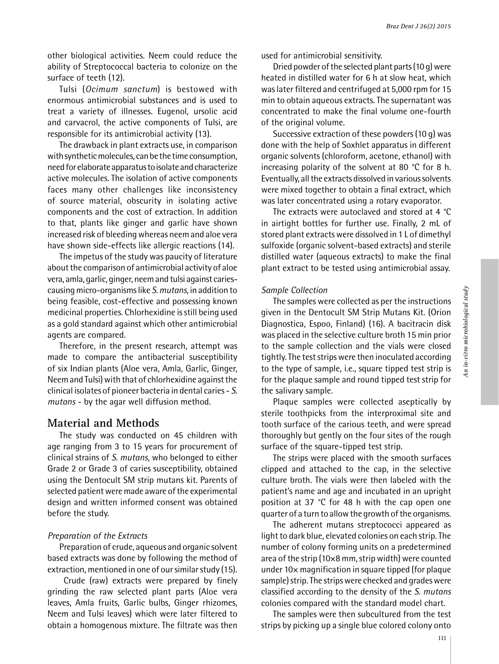other biological activities. Neem could reduce the ability of Streptococcal bacteria to colonize on the surface of teeth (12).

Tulsi (*Ocimum sanctum*) is bestowed with enormous antimicrobial substances and is used to treat a variety of illnesses. Eugenol, ursolic acid and carvacrol, the active components of Tulsi, are responsible for its antimicrobial activity (13).

The drawback in plant extracts use, in comparison with synthetic molecules, can be the time consumption, need for elaborate apparatus to isolate and characterize active molecules. The isolation of active components faces many other challenges like inconsistency of source material, obscurity in isolating active components and the cost of extraction. In addition to that, plants like ginger and garlic have shown increased risk of bleeding whereas neem and aloe vera have shown side-effects like allergic reactions (14).

The impetus of the study was paucity of literature about the comparison of antimicrobial activity of aloe vera, amla, garlic, ginger, neem and tulsi against cariescausing micro-organisms like *S. mutans*, in addition to being feasible, cost-effective and possessing known medicinal properties. Chlorhexidine is still being used as a gold standard against which other antimicrobial agents are compared.

Therefore, in the present research, attempt was made to compare the antibacterial susceptibility of six Indian plants (Aloe vera, Amla, Garlic, Ginger, Neem and Tulsi) with that of chlorhexidine against the clinical isolates of pioneer bacteria in dental caries - *S. mutans* - by the agar well diffusion method.

## **Material and Methods**

The study was conducted on 45 children with age ranging from 3 to 15 years for procurement of clinical strains of *S. mutans*, who belonged to either Grade 2 or Grade 3 of caries susceptibility, obtained using the Dentocult SM strip mutans kit. Parents of selected patient were made aware of the experimental design and written informed consent was obtained before the study.

#### *Preparation of the Extracts*

Preparation of crude, aqueous and organic solvent based extracts was done by following the method of extraction, mentioned in one of our similar study (15).

Crude (raw) extracts were prepared by finely grinding the raw selected plant parts (Aloe vera leaves, Amla fruits, Garlic bulbs, Ginger rhizomes, Neem and Tulsi leaves) which were later filtered to obtain a homogenous mixture. The filtrate was then

used for antimicrobial sensitivity.

Dried powder of the selected plant parts (10 g) were heated in distilled water for 6 h at slow heat, which was later filtered and centrifuged at 5,000 rpm for 15 min to obtain aqueous extracts. The supernatant was concentrated to make the final volume one-fourth of the original volume.

Successive extraction of these powders (10 g) was done with the help of Soxhlet apparatus in different organic solvents (chloroform, acetone, ethanol) with increasing polarity of the solvent at 80 °C for 8 h. Eventually, all the extracts dissolved in various solvents were mixed together to obtain a final extract, which was later concentrated using a rotary evaporator.

The extracts were autoclaved and stored at 4 °C in airtight bottles for further use. Finally, 2 mL of stored plant extracts were dissolved in 1 L of dimethyl sulfoxide (organic solvent-based extracts) and sterile distilled water (aqueous extracts) to make the final plant extract to be tested using antimicrobial assay.

#### *Sample Collection*

The samples were collected as per the instructions given in the Dentocult SM Strip Mutans Kit. (Orion Diagnostica, Espoo, Finland) (16). A bacitracin disk was placed in the selective culture broth 15 min prior to the sample collection and the vials were closed tightly. The test strips were then inoculated according to the type of sample, i.e., square tipped test strip is for the plaque sample and round tipped test strip for the salivary sample.

Plaque samples were collected aseptically by sterile toothpicks from the interproximal site and tooth surface of the carious teeth, and were spread thoroughly but gently on the four sites of the rough surface of the square-tipped test strip.

The strips were placed with the smooth surfaces clipped and attached to the cap, in the selective culture broth. The vials were then labeled with the patient's name and age and incubated in an upright position at 37 °C for 48 h with the cap open one quarter of a turn to allow the growth of the organisms.

The adherent mutans streptococci appeared as light to dark blue, elevated colonies on each strip. The number of colony forming units on a predetermined area of the strip (10×8 mm, strip width) were counted under 10× magnification in square tipped (for plaque sample) strip. The strips were checked and grades were classified according to the density of the *S. mutans*  colonies compared with the standard model chart.

The samples were then subcultured from the test strips by picking up a single blue colored colony onto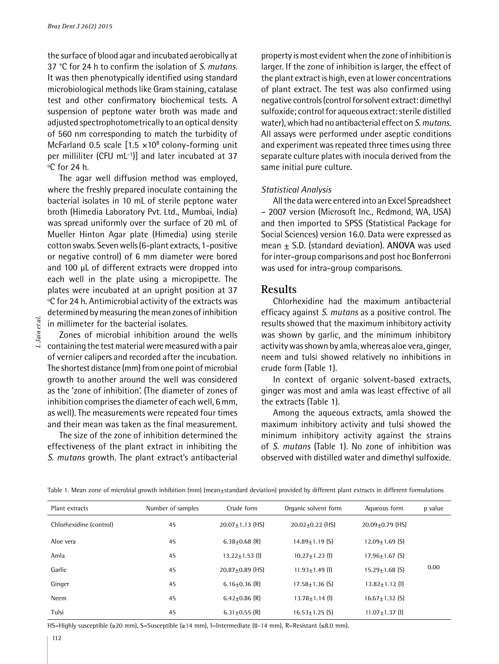the surface of blood agar and incubated aerobically at 37 °C for 24 h to confirm the isolation of *S. mutans*. It was then phenotypically identified using standard microbiological methods like Gram staining, catalase test and other confirmatory biochemical tests. A suspension of peptone water broth was made and adjusted spectrophotometrically to an optical density of 560 nm corresponding to match the turbidity of McFarland 0.5 scale  $[1.5 \times 10^8 \text{ colony-forming unit}]$ per milliliter (CFU mL-1)] and later incubated at 37 ºC for 24 h.

The agar well diffusion method was employed, where the freshly prepared inoculate containing the bacterial isolates in 10 mL of sterile peptone water broth (Himedia Laboratory Pvt. Ltd., Mumbai, India) was spread uniformly over the surface of 20 mL of Mueller Hinton Agar plate (Himedia) using sterile cotton swabs. Seven wells (6-plant extracts, 1-positive or negative control) of 6 mm diameter were bored and 100 µL of different extracts were dropped into each well in the plate using a micropipette. The plates were incubated at an upright position at 37 ºC for 24 h. Antimicrobial activity of the extracts was determined by measuring the mean zones of inhibition in millimeter for the bacterial isolates.

I. Jain et al. *I. Jain et al.*

Zones of microbial inhibition around the wells containing the test material were measured with a pair of vernier calipers and recorded after the incubation. The shortest distance (mm) from one point of microbial growth to another around the well was considered as the 'zone of inhibition'. (The diameter of zones of inhibition comprises the diameter of each well, 6 mm, as well). The measurements were repeated four times and their mean was taken as the final measurement.

The size of the zone of inhibition determined the effectiveness of the plant extract in inhibiting the *S. mutans* growth. The plant extract's antibacterial

property is most evident when the zone of inhibition is larger. If the zone of inhibition is larger, the effect of the plant extract is high, even at lower concentrations of plant extract. The test was also confirmed using negative controls (control for solvent extract: dimethyl sulfoxide; control for aqueous extract: sterile distilled water), which had no antibacterial effect on *S. mutans*. All assays were performed under aseptic conditions and experiment was repeated three times using three separate culture plates with inocula derived from the same initial pure culture.

#### *Statistical Analysis*

All the data were entered into an Excel Spreadsheet – 2007 version (Microsoft Inc., Redmond, WA, USA) and then imported to SPSS (Statistical Package for Social Sciences) version 16.0. Data were expressed as mean ± S.D. (standard deviation). **ANOVA** was used for inter-group comparisons and post hoc Bonferroni was used for intra-group comparisons.

## **Results**

Chlorhexidine had the maximum antibacterial efficacy against *S. mutans* as a positive control. The results showed that the maximum inhibitory activity was shown by garlic, and the minimum inhibitory activity was shown by amla, whereas aloe vera, ginger, neem and tulsi showed relatively no inhibitions in crude form (Table 1).

In context of organic solvent-based extracts, ginger was most and amla was least effective of all the extracts (Table 1).

Among the aqueous extracts, amla showed the maximum inhibitory activity and tulsi showed the minimum inhibitory activity against the strains of *S. mutans* (Table 1). No zone of inhibition was observed with distilled water and dimethyl sulfoxide.

| Plant extracts          | Number of samples | Crude form            | Organic solvent form | Aqueous form         | p value |
|-------------------------|-------------------|-----------------------|----------------------|----------------------|---------|
| Chlorhexidine (control) | 45                | $20.07 \pm 1.13$ (HS) | $20.02+0.22$ (HS)    | $20.09 + 0.79$ (HS)  | 0.00    |
| Aloe vera               | 45                | $6.38 + 0.68$ (R)     | $14.89 + 1.19$ (S)   | $12.09 + 1.69$ (S)   |         |
| Amla                    | 45                | $13.22 \pm 1.53$ (1)  | $10.27 \pm 1.23$ (1) | $17.96 + 1.67$ (S)   |         |
| Garlic                  | 45                | $20.87 + 0.89$ (HS)   | $11.93 + 1.49$ (1)   | $15.29 + 1.68$ (S)   |         |
| Ginger                  | 45                | $6.16 + 0.36$ (R)     | $17.58 + 1.36$ (S)   | $13.82 \pm 1.12$ (1) |         |
| Neem                    | 45                | $6.42+0.86$ (R)       | $13.78 \pm 1.14$ (1) | $16.67 + 1.32$ (S)   |         |
| Tulsi                   | 45                | 6.31 $\pm$ 0.55 (R)   | $16.53 + 1.25$ (S)   | $11.07 + 1.37$ (1)   |         |

Table 1. Mean zone of microbial growth inhibition (mm) (mean±standard deviation) provided by different plant extracts in different formulations

HS=Highly susceptible (≥20 mm), S=Susceptible (≥14 mm), I=Intermediate (8-14 mm), R=Resistant (≤8.0 mm).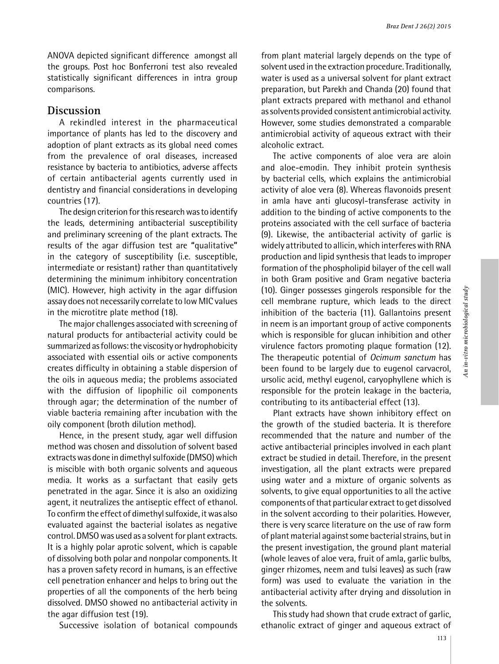ANOVA depicted significant difference amongst all the groups. Post hoc Bonferroni test also revealed statistically significant differences in intra group comparisons.

## **Discussion**

A rekindled interest in the pharmaceutical importance of plants has led to the discovery and adoption of plant extracts as its global need comes from the prevalence of oral diseases, increased resistance by bacteria to antibiotics, adverse affects of certain antibacterial agents currently used in dentistry and financial considerations in developing countries (17).

The design criterion for this research was to identify the leads, determining antibacterial susceptibility and preliminary screening of the plant extracts. The results of the agar diffusion test are **"**qualitative**"**  in the category of susceptibility (i.e. susceptible, intermediate or resistant) rather than quantitatively determining the minimum inhibitory concentration (MIC). However, high activity in the agar diffusion assay does not necessarily correlate to low MIC values in the microtitre plate method (18).

The major challenges associated with screening of natural products for antibacterial activity could be summarized as follows: the viscosity or hydrophobicity associated with essential oils or active components creates difficulty in obtaining a stable dispersion of the oils in aqueous media; the problems associated with the diffusion of lipophilic oil components through agar; the determination of the number of viable bacteria remaining after incubation with the oily component (broth dilution method).

Hence, in the present study, agar well diffusion method was chosen and dissolution of solvent based extracts was done in dimethyl sulfoxide (DMSO) which is miscible with both organic solvents and aqueous media. It works as a surfactant that easily gets penetrated in the agar. Since it is also an oxidizing agent, it neutralizes the antiseptic effect of ethanol. To confirm the effect of dimethyl sulfoxide, it was also evaluated against the bacterial isolates as negative control. DMSO was used as a solvent for plant extracts. It is a highly polar aprotic solvent, which is capable of dissolving both polar and nonpolar components. It has a proven safety record in humans, is an effective cell penetration enhancer and helps to bring out the properties of all the components of the herb being dissolved. DMSO showed no antibacterial activity in the agar diffusion test (19).

Successive isolation of botanical compounds

from plant material largely depends on the type of solvent used in the extraction procedure. Traditionally, water is used as a universal solvent for plant extract preparation, but Parekh and Chanda (20) found that plant extracts prepared with methanol and ethanol as solvents provided consistent antimicrobial activity. However, some studies demonstrated a comparable antimicrobial activity of aqueous extract with their alcoholic extract.

The active components of aloe vera are aloin and aloe-emodin. They inhibit protein synthesis by bacterial cells, which explains the antimicrobial activity of aloe vera (8). Whereas flavonoids present in amla have anti glucosyl-transferase activity in addition to the binding of active components to the proteins associated with the cell surface of bacteria (9). Likewise, the antibacterial activity of garlic is widely attributed to allicin, which interferes with RNA production and lipid synthesis that leads to improper formation of the phospholipid bilayer of the cell wall in both Gram positive and Gram negative bacteria (10). Ginger possesses gingerols responsible for the cell membrane rupture, which leads to the direct inhibition of the bacteria (11). Gallantoins present in neem is an important group of active components which is responsible for glucan inhibition and other virulence factors promoting plaque formation (12). The therapeutic potential of *Ocimum sanctum* has been found to be largely due to eugenol carvacrol, ursolic acid, methyl eugenol, caryophyllene which is responsible for the protein leakage in the bacteria, contributing to its antibacterial effect (13).

Plant extracts have shown inhibitory effect on the growth of the studied bacteria. It is therefore recommended that the nature and number of the active antibacterial principles involved in each plant extract be studied in detail. Therefore, in the present investigation, all the plant extracts were prepared using water and a mixture of organic solvents as solvents, to give equal opportunities to all the active components of that particular extract to get dissolved in the solvent according to their polarities. However, there is very scarce literature on the use of raw form of plant material against some bacterial strains, but in the present investigation, the ground plant material (whole leaves of aloe vera, fruit of amla, garlic bulbs, ginger rhizomes, neem and tulsi leaves) as such (raw form) was used to evaluate the variation in the antibacterial activity after drying and dissolution in the solvents.

This study had shown that crude extract of garlic, ethanolic extract of ginger and aqueous extract of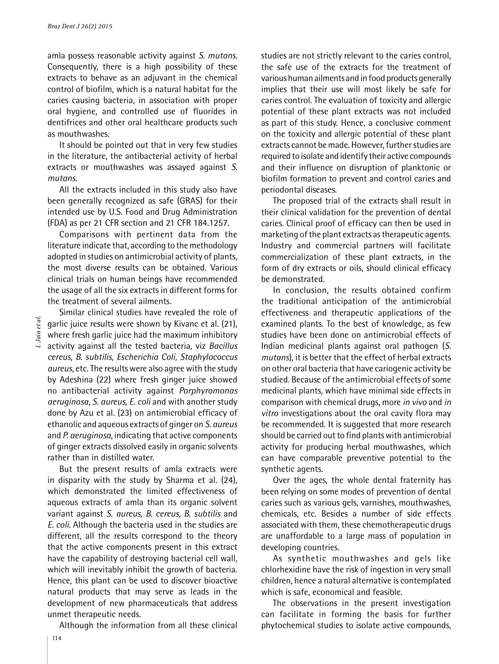amla possess reasonable activity against *S. mutans.*  Consequently, there is a high possibility of these extracts to behave as an adjuvant in the chemical control of biofilm, which is a natural habitat for the caries causing bacteria, in association with proper oral hygiene, and controlled use of fluorides in dentifrices and other oral healthcare products such as mouthwashes.

It should be pointed out that in very few studies in the literature, the antibacterial activity of herbal extracts or mouthwashes was assayed against *S. mutans.* 

All the extracts included in this study also have been generally recognized as safe (GRAS) for their intended use by U.S. Food and Drug Administration (FDA) as per 21 CFR section and 21 CFR 184.1257.

Comparisons with pertinent data from the literature indicate that, according to the methodology adopted in studies on antimicrobial activity of plants, the most diverse results can be obtained. Various clinical trials on human beings have recommended the usage of all the six extracts in different forms for the treatment of several ailments.

Similar clinical studies have revealed the role of garlic juice results were shown by Kivanc et al. (21), where fresh garlic juice had the maximum inhibitory activity against all the tested bacteria, viz *Bacillus cereus, B. subtilis, Escherichia Coli, Staphylococcus aureus*, etc. The results were also agree with the study by Adeshina (22) where fresh ginger juice showed no antibacterial activity against *Porphyromonas aeruginosa, S. aureus, E. coli* and with another study done by Azu et al. (23) on antimicrobial efficacy of ethanolic and aqueous extracts of ginger on *S. aureus*  and *P. aeruginosa*, indicating that active components of ginger extracts dissolved easily in organic solvents rather than in distilled water.

But the present results of amla extracts were in disparity with the study by Sharma et al. (24), which demonstrated the limited effectiveness of aqueous extracts of amla than its organic solvent variant against *S. aureus, B. cereus, B. subtilis* and *E. coli.* Although the bacteria used in the studies are different, all the results correspond to the theory that the active components present in this extract have the capability of destroying bacterial cell wall, which will inevitably inhibit the growth of bacteria. Hence, this plant can be used to discover bioactive natural products that may serve as leads in the development of new pharmaceuticals that address unmet therapeutic needs.

Although the information from all these clinical

studies are not strictly relevant to the caries control, the safe use of the extracts for the treatment of various human ailments and in food products generally implies that their use will most likely be safe for caries control. The evaluation of toxicity and allergic potential of these plant extracts was not included as part of this study. Hence, a conclusive comment on the toxicity and allergic potential of these plant extracts cannot be made. However, further studies are required to isolate and identify their active compounds and their influence on disruption of planktonic or biofilm formation to prevent and control caries and periodontal diseases.

The proposed trial of the extracts shall result in their clinical validation for the prevention of dental caries. Clinical proof of efficacy can then be used in marketing of the plant extracts as therapeutic agents. Industry and commercial partners will facilitate commercialization of these plant extracts, in the form of dry extracts or oils, should clinical efficacy be demonstrated.

In conclusion, the results obtained confirm the traditional anticipation of the antimicrobial effectiveness and therapeutic applications of the examined plants. To the best of knowledge, as few studies have been done on antimicrobial effects of Indian medicinal plants against oral pathogen (*S. mutans*), it is better that the effect of herbal extracts on other oral bacteria that have cariogenic activity be studied. Because of the antimicrobial effects of some medicinal plants, which have minimal side effects in comparison with chemical drugs, more *in vivo* and *in vitro* investigations about the oral cavity flora may be recommended. It is suggested that more research should be carried out to find plants with antimicrobial activity for producing herbal mouthwashes, which can have comparable preventive potential to the synthetic agents.

Over the ages, the whole dental fraternity has been relying on some modes of prevention of dental caries such as various gels, varnishes, mouthwashes, chemicals, etc. Besides a number of side effects associated with them, these chemotherapeutic drugs are unaffordable to a large mass of population in developing countries.

As synthetic mouthwashes and gels like chlorhexidine have the risk of ingestion in very small children, hence a natural alternative is contemplated which is safe, economical and feasible.

The observations in the present investigation can facilitate in forming the basis for further phytochemical studies to isolate active compounds,